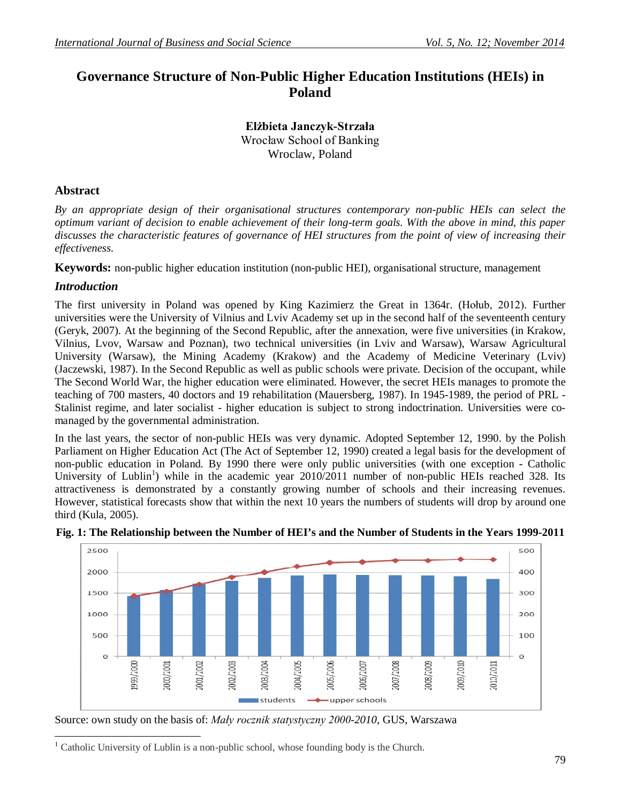## **Governance Structure of Non-Public Higher Education Institutions (HEIs) in Poland**

**Elżbieta Janczyk-Strzała** Wrocław School of Banking Wroclaw, Poland

#### **Abstract**

*By an appropriate design of their organisational structures contemporary non-public HEIs can select the optimum variant of decision to enable achievement of their long-term goals. With the above in mind, this paper discusses the characteristic features of governance of HEI structures from the point of view of increasing their effectiveness.*

**Keywords:** non-public higher education institution (non-public HEI), organisational structure, management

### *Introduction*

The first university in Poland was opened by King Kazimierz the Great in 1364r. (Hołub, 2012). Further universities were the University of Vilnius and Lviv Academy set up in the second half of the seventeenth century (Geryk, 2007). At the beginning of the Second Republic, after the annexation, were five universities (in Krakow, Vilnius, Lvov, Warsaw and Poznan), two technical universities (in Lviv and Warsaw), Warsaw Agricultural University (Warsaw), the Mining Academy (Krakow) and the Academy of Medicine Veterinary (Lviv) (Jaczewski, 1987). In the Second Republic as well as public schools were private. Decision of the occupant, while The Second World War, the higher education were eliminated. However, the secret HEIs manages to promote the teaching of 700 masters, 40 doctors and 19 rehabilitation (Mauersberg, 1987). In 1945-1989, the period of PRL - Stalinist regime, and later socialist - higher education is subject to strong indoctrination. Universities were comanaged by the governmental administration.

In the last years, the sector of non-public HEIs was very dynamic. Adopted September 12, 1990. by the Polish Parliament on Higher Education Act (The Act of September 12, 1990) created a legal basis for the development of non-public education in Poland. By 1990 there were only public universities (with one exception - Catholic University of Lublin<sup>1</sup>) while in the academic year  $2010/2011$  number of non-public HEIs reached 328. Its attractiveness is demonstrated by a constantly growing number of schools and their increasing revenues. However, statistical forecasts show that within the next 10 years the numbers of students will drop by around one third (Kula, 2005).



#### **Fig. 1: The Relationship between the Number of HEI's and the Number of Students in the Years 1999-2011**

Source: own study on the basis of: *Mały rocznik statystyczny 2000-2010*, GUS, Warszawa

 $\overline{a}$ Catholic University of Lublin is a non-public school, whose founding body is the Church.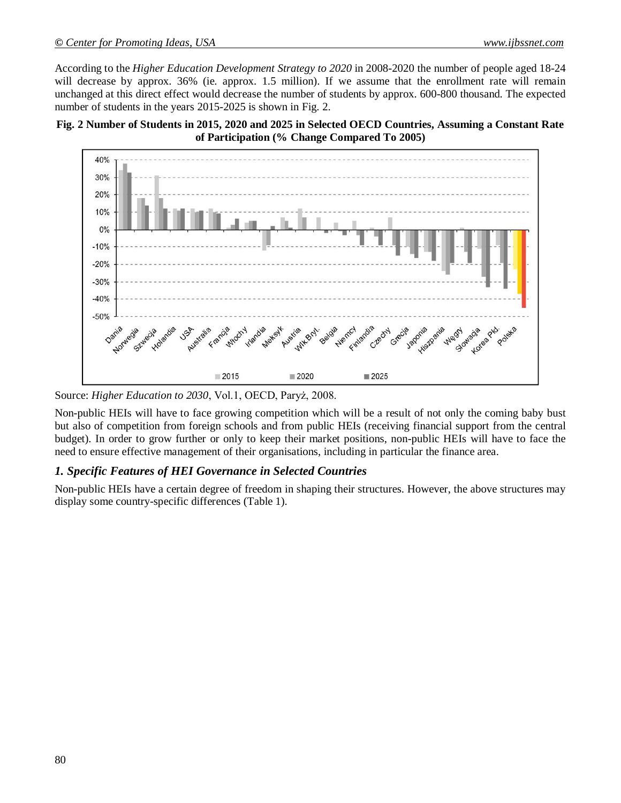According to the *Higher Education Development Strategy to 2020* in 2008-2020 the number of people aged 18-24 will decrease by approx. 36% (ie. approx. 1.5 million). If we assume that the enrollment rate will remain unchanged at this direct effect would decrease the number of students by approx. 600-800 thousand. The expected number of students in the years 2015-2025 is shown in Fig. 2.





Source: *Higher Education to 2030*, Vol.1, OECD, Paryż, 2008.

Non-public HEIs will have to face growing competition which will be a result of not only the coming baby bust but also of competition from foreign schools and from public HEIs (receiving financial support from the central budget). In order to grow further or only to keep their market positions, non-public HEIs will have to face the need to ensure effective management of their organisations, including in particular the finance area.

#### *1. Specific Features of HEI Governance in Selected Countries*

Non-public HEIs have a certain degree of freedom in shaping their structures. However, the above structures may display some country-specific differences (Table 1).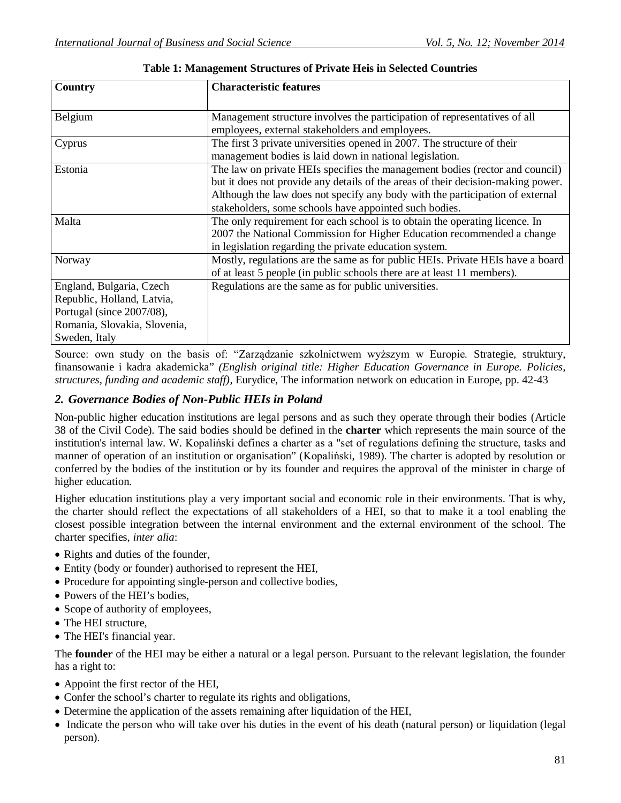| Country                      | <b>Characteristic features</b>                                                   |
|------------------------------|----------------------------------------------------------------------------------|
| Belgium                      | Management structure involves the participation of representatives of all        |
|                              | employees, external stakeholders and employees.                                  |
| Cyprus                       | The first 3 private universities opened in 2007. The structure of their          |
|                              | management bodies is laid down in national legislation.                          |
| Estonia                      | The law on private HEIs specifies the management bodies (rector and council)     |
|                              | but it does not provide any details of the areas of their decision-making power. |
|                              | Although the law does not specify any body with the participation of external    |
|                              | stakeholders, some schools have appointed such bodies.                           |
| Malta                        | The only requirement for each school is to obtain the operating licence. In      |
|                              | 2007 the National Commission for Higher Education recommended a change           |
|                              | in legislation regarding the private education system.                           |
| Norway                       | Mostly, regulations are the same as for public HEIs. Private HEIs have a board   |
|                              | of at least 5 people (in public schools there are at least 11 members).          |
| England, Bulgaria, Czech     | Regulations are the same as for public universities.                             |
| Republic, Holland, Latvia,   |                                                                                  |
| Portugal (since 2007/08),    |                                                                                  |
| Romania, Slovakia, Slovenia, |                                                                                  |
| Sweden, Italy                |                                                                                  |

#### **Table 1: Management Structures of Private Heis in Selected Countries**

Source: own study on the basis of: "Zarządzanie szkolnictwem wyższym w Europie. Strategie, struktury, finansowanie i kadra akademicka" *(English original title: Higher Education Governance in Europe. Policies, structures, funding and academic staff)*, Eurydice, The information network on education in Europe, pp. 42-43

#### *2. Governance Bodies of Non-Public HEIs in Poland*

Non-public higher education institutions are legal persons and as such they operate through their bodies (Article 38 of the Civil Code). The said bodies should be defined in the **charter** which represents the main source of the institution's internal law. W. Kopaliński defines a charter as a "set of regulations defining the structure, tasks and manner of operation of an institution or organisation" (Kopaliński, 1989). The charter is adopted by resolution or conferred by the bodies of the institution or by its founder and requires the approval of the minister in charge of higher education.

Higher education institutions play a very important social and economic role in their environments. That is why, the charter should reflect the expectations of all stakeholders of a HEI, so that to make it a tool enabling the closest possible integration between the internal environment and the external environment of the school. The charter specifies, *inter alia*:

- Rights and duties of the founder,
- Entity (body or founder) authorised to represent the HEI,
- Procedure for appointing single-person and collective bodies,
- Powers of the HEI's bodies,
- Scope of authority of employees,
- The HEI structure,
- The HEI's financial year.

The **founder** of the HEI may be either a natural or a legal person. Pursuant to the relevant legislation, the founder has a right to:

- Appoint the first rector of the HEI,
- Confer the school's charter to regulate its rights and obligations,
- Determine the application of the assets remaining after liquidation of the HEI,
- Indicate the person who will take over his duties in the event of his death (natural person) or liquidation (legal person).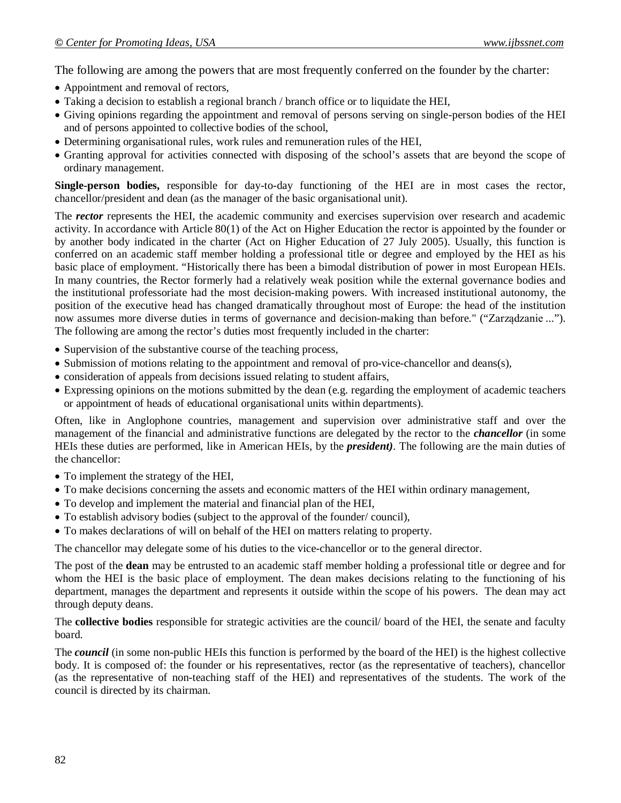The following are among the powers that are most frequently conferred on the founder by the charter:

- Appointment and removal of rectors,
- Taking a decision to establish a regional branch / branch office or to liquidate the HEI,
- Giving opinions regarding the appointment and removal of persons serving on single-person bodies of the HEI and of persons appointed to collective bodies of the school,
- Determining organisational rules, work rules and remuneration rules of the HEI,
- Granting approval for activities connected with disposing of the school's assets that are beyond the scope of ordinary management.

**Single-person bodies,** responsible for day-to-day functioning of the HEI are in most cases the rector, chancellor/president and dean (as the manager of the basic organisational unit).

The **rector** represents the HEI, the academic community and exercises supervision over research and academic activity. In accordance with Article 80(1) of the Act on Higher Education the rector is appointed by the founder or by another body indicated in the charter (Act on Higher Education of 27 July 2005). Usually, this function is conferred on an academic staff member holding a professional title or degree and employed by the HEI as his basic place of employment. "Historically there has been a bimodal distribution of power in most European HEIs. In many countries, the Rector formerly had a relatively weak position while the external governance bodies and the institutional professoriate had the most decision-making powers. With increased institutional autonomy, the position of the executive head has changed dramatically throughout most of Europe: the head of the institution now assumes more diverse duties in terms of governance and decision-making than before." ("Zarządzanie ..."). The following are among the rector's duties most frequently included in the charter:

- Supervision of the substantive course of the teaching process,
- Submission of motions relating to the appointment and removal of pro-vice-chancellor and deans(s),
- consideration of appeals from decisions issued relating to student affairs,
- Expressing opinions on the motions submitted by the dean (e.g. regarding the employment of academic teachers or appointment of heads of educational organisational units within departments).

Often, like in Anglophone countries, management and supervision over administrative staff and over the management of the financial and administrative functions are delegated by the rector to the *chancellor* (in some HEIs these duties are performed, like in American HEIs, by the *president)*. The following are the main duties of the chancellor:

- To implement the strategy of the HEI,
- To make decisions concerning the assets and economic matters of the HEI within ordinary management,
- To develop and implement the material and financial plan of the HEI,
- To establish advisory bodies (subject to the approval of the founder/ council),
- To makes declarations of will on behalf of the HEI on matters relating to property.

The chancellor may delegate some of his duties to the vice-chancellor or to the general director.

The post of the **dean** may be entrusted to an academic staff member holding a professional title or degree and for whom the HEI is the basic place of employment. The dean makes decisions relating to the functioning of his department, manages the department and represents it outside within the scope of his powers. The dean may act through deputy deans.

The **collective bodies** responsible for strategic activities are the council/ board of the HEI, the senate and faculty board.

The *council* (in some non-public HEIs this function is performed by the board of the HEI) is the highest collective body. It is composed of: the founder or his representatives, rector (as the representative of teachers), chancellor (as the representative of non-teaching staff of the HEI) and representatives of the students. The work of the council is directed by its chairman.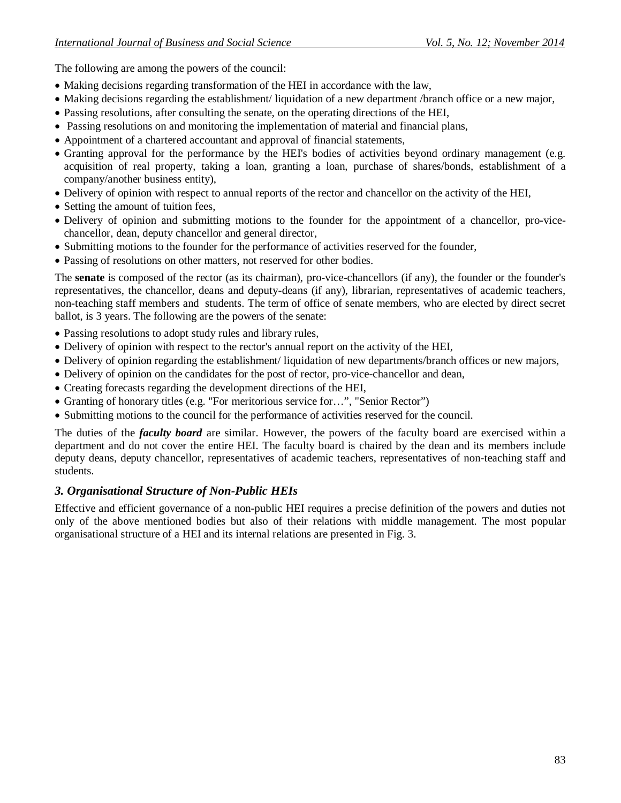The following are among the powers of the council:

- Making decisions regarding transformation of the HEI in accordance with the law,
- Making decisions regarding the establishment/ liquidation of a new department /branch office or a new major,
- Passing resolutions, after consulting the senate, on the operating directions of the HEI,
- Passing resolutions on and monitoring the implementation of material and financial plans,
- Appointment of a chartered accountant and approval of financial statements,
- Granting approval for the performance by the HEI's bodies of activities beyond ordinary management (e.g. acquisition of real property, taking a loan, granting a loan, purchase of shares/bonds, establishment of a company/another business entity),
- Delivery of opinion with respect to annual reports of the rector and chancellor on the activity of the HEI,
- Setting the amount of tuition fees,
- Delivery of opinion and submitting motions to the founder for the appointment of a chancellor, pro-vicechancellor, dean, deputy chancellor and general director,
- Submitting motions to the founder for the performance of activities reserved for the founder,
- Passing of resolutions on other matters, not reserved for other bodies.

The **senate** is composed of the rector (as its chairman), pro-vice-chancellors (if any), the founder or the founder's representatives, the chancellor, deans and deputy-deans (if any), librarian, representatives of academic teachers, non-teaching staff members and students. The term of office of senate members, who are elected by direct secret ballot, is 3 years. The following are the powers of the senate:

- Passing resolutions to adopt study rules and library rules,
- Delivery of opinion with respect to the rector's annual report on the activity of the HEI,
- Delivery of opinion regarding the establishment/ liquidation of new departments/branch offices or new majors,
- Delivery of opinion on the candidates for the post of rector, pro-vice-chancellor and dean,
- Creating forecasts regarding the development directions of the HEI,
- Granting of honorary titles (e.g. "For meritorious service for…", "Senior Rector")
- Submitting motions to the council for the performance of activities reserved for the council.

The duties of the *faculty board* are similar. However, the powers of the faculty board are exercised within a department and do not cover the entire HEI. The faculty board is chaired by the dean and its members include deputy deans, deputy chancellor, representatives of academic teachers, representatives of non-teaching staff and students.

#### *3. Organisational Structure of Non-Public HEIs*

Effective and efficient governance of a non-public HEI requires a precise definition of the powers and duties not only of the above mentioned bodies but also of their relations with middle management. The most popular organisational structure of a HEI and its internal relations are presented in Fig. 3.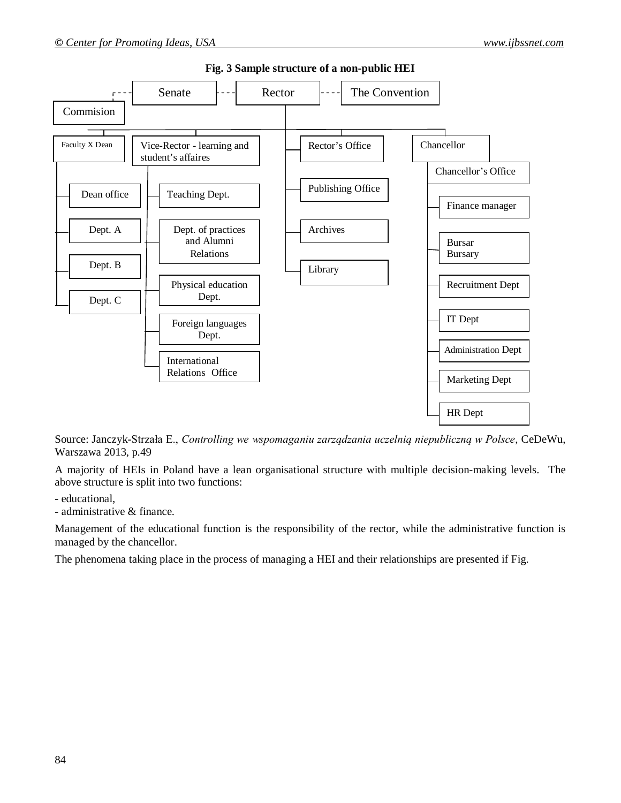

#### **Fig. 3 Sample structure of a non-public HEI**

Source: Janczyk-Strzała E., *Controlling we wspomaganiu zarządzania uczelnią niepubliczną w Polsce*, CeDeWu, Warszawa 2013, p.49

A majority of HEIs in Poland have a lean organisational structure with multiple decision-making levels. The above structure is split into two functions:

- educational,

- administrative & finance.

Management of the educational function is the responsibility of the rector, while the administrative function is managed by the chancellor.

The phenomena taking place in the process of managing a HEI and their relationships are presented if Fig.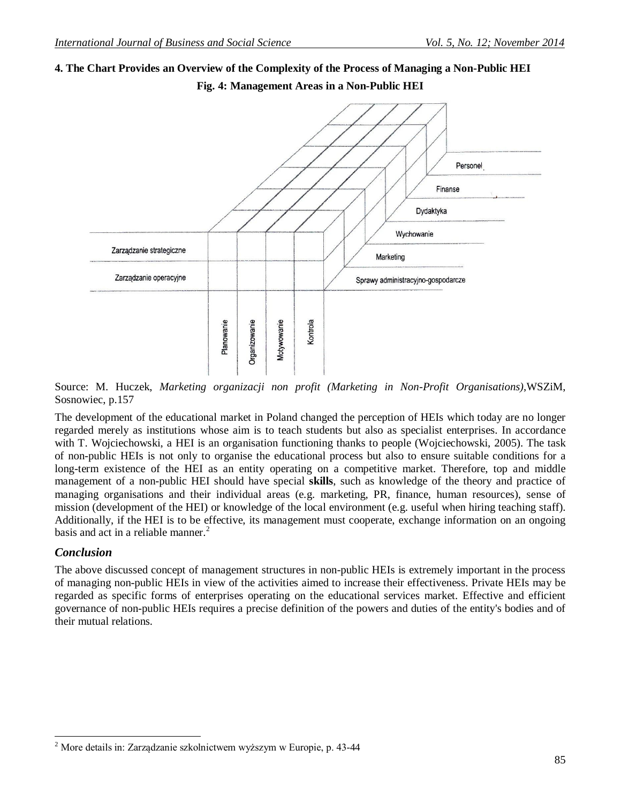# **4. The Chart Provides an Overview of the Complexity of the Process of Managing a Non-Public HEI**



**Fig. 4: Management Areas in a Non-Public HEI**

Source: M. Huczek, *Marketing organizacji non profit (Marketing in Non-Profit Organisations)*,WSZiM, Sosnowiec, p.157

The development of the educational market in Poland changed the perception of HEIs which today are no longer regarded merely as institutions whose aim is to teach students but also as specialist enterprises. In accordance with T. Wojciechowski, a HEI is an organisation functioning thanks to people (Wojciechowski, 2005). The task of non-public HEIs is not only to organise the educational process but also to ensure suitable conditions for a long-term existence of the HEI as an entity operating on a competitive market. Therefore, top and middle management of a non-public HEI should have special **skills**, such as knowledge of the theory and practice of managing organisations and their individual areas (e.g. marketing, PR, finance, human resources), sense of mission (development of the HEI) or knowledge of the local environment (e.g. useful when hiring teaching staff). Additionally, if the HEI is to be effective, its management must cooperate, exchange information on an ongoing basis and act in a reliable manner. $2$ 

#### *Conclusion*

 $\overline{a}$ 

The above discussed concept of management structures in non-public HEIs is extremely important in the process of managing non-public HEIs in view of the activities aimed to increase their effectiveness. Private HEIs may be regarded as specific forms of enterprises operating on the educational services market. Effective and efficient governance of non-public HEIs requires a precise definition of the powers and duties of the entity's bodies and of their mutual relations.

<sup>2</sup> More details in: Zarządzanie szkolnictwem wyższym w Europie, p. 43-44